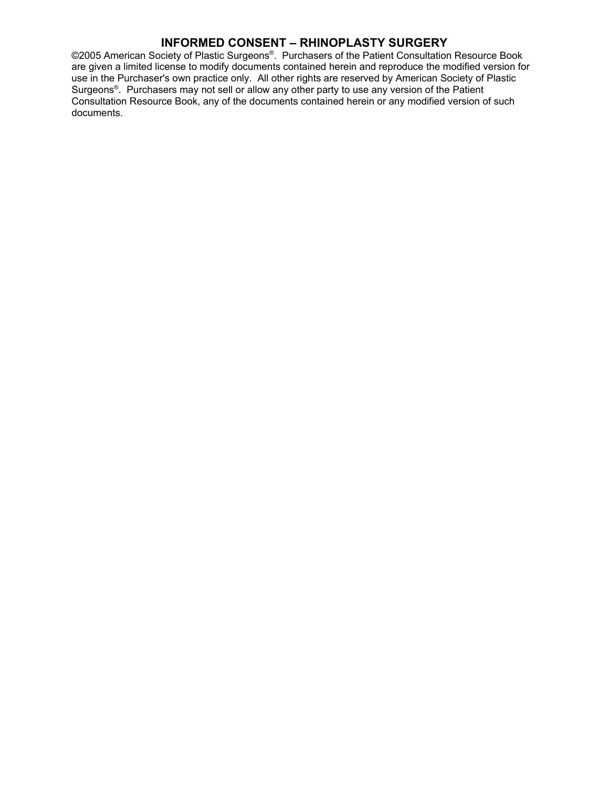©2005 American Society of Plastic Surgeons®. Purchasers of the Patient Consultation Resource Book are given a limited license to modify documents contained herein and reproduce the modified version for use in the Purchaser's own practice only. All other rights are reserved by American Society of Plastic Surgeons ® . Purchasers may not sell or allow any other party to use any version of the Patient Consultation Resource Book, any of the documents contained herein or any modified version of such documents.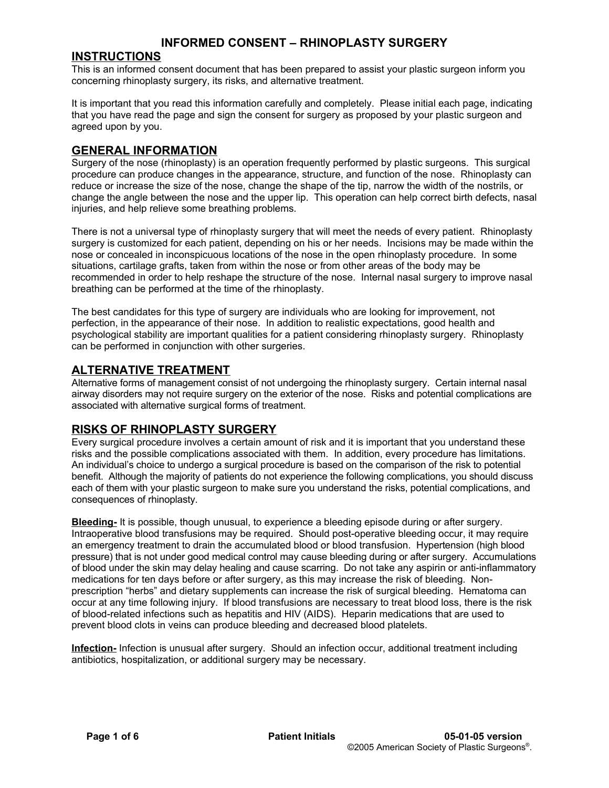#### **INSTRUCTIONS**

This is an informed consent document that has been prepared to assist your plastic surgeon inform you concerning rhinoplasty surgery, its risks, and alternative treatment.

It is important that you read this information carefully and completely. Please initial each page, indicating that you have read the page and sign the consent for surgery as proposed by your plastic surgeon and agreed upon by you.

#### **GENERAL INFORMATION**

Surgery of the nose (rhinoplasty) is an operation frequently performed by plastic surgeons. This surgical procedure can produce changes in the appearance, structure, and function of the nose. Rhinoplasty can reduce or increase the size of the nose, change the shape of the tip, narrow the width of the nostrils, or change the angle between the nose and the upper lip. This operation can help correct birth defects, nasal injuries, and help relieve some breathing problems.

There is not a universal type of rhinoplasty surgery that will meet the needs of every patient. Rhinoplasty surgery is customized for each patient, depending on his or her needs. Incisions may be made within the nose or concealed in inconspicuous locations of the nose in the open rhinoplasty procedure. In some situations, cartilage grafts, taken from within the nose or from other areas of the body may be recommended in order to help reshape the structure of the nose. Internal nasal surgery to improve nasal breathing can be performed at the time of the rhinoplasty.

The best candidates for this type of surgery are individuals who are looking for improvement, not perfection, in the appearance of their nose. In addition to realistic expectations, good health and psychological stability are important qualities for a patient considering rhinoplasty surgery. Rhinoplasty can be performed in conjunction with other surgeries.

#### **ALTERNATIVE TREATMENT**

Alternative forms of management consist of not undergoing the rhinoplasty surgery. Certain internal nasal airway disorders may not require surgery on the exterior of the nose. Risks and potential complications are associated with alternative surgical forms of treatment.

# **RISKS OF RHINOPLASTY SURGERY**

Every surgical procedure involves a certain amount of risk and it is important that you understand these risks and the possible complications associated with them. In addition, every procedure has limitations. An individual's choice to undergo a surgical procedure is based on the comparison of the risk to potential benefit. Although the majority of patients do not experience the following complications, you should discuss each of them with your plastic surgeon to make sure you understand the risks, potential complications, and consequences of rhinoplasty.

**Bleeding-** It is possible, though unusual, to experience a bleeding episode during or after surgery. Intraoperative blood transfusions may be required. Should post-operative bleeding occur, it may require an emergency treatment to drain the accumulated blood or blood transfusion. Hypertension (high blood pressure) that is not under good medical control may cause bleeding during or after surgery. Accumulations of blood under the skin may delay healing and cause scarring. Do not take any aspirin or anti-inflammatory medications for ten days before or after surgery, as this may increase the risk of bleeding. Nonprescription "herbs" and dietary supplements can increase the risk of surgical bleeding. Hematoma can occur at any time following injury. If blood transfusions are necessary to treat blood loss, there is the risk of blood-related infections such as hepatitis and HIV (AIDS). Heparin medications that are used to prevent blood clots in veins can produce bleeding and decreased blood platelets.

**Infection-** Infection is unusual after surgery. Should an infection occur, additional treatment including antibiotics, hospitalization, or additional surgery may be necessary.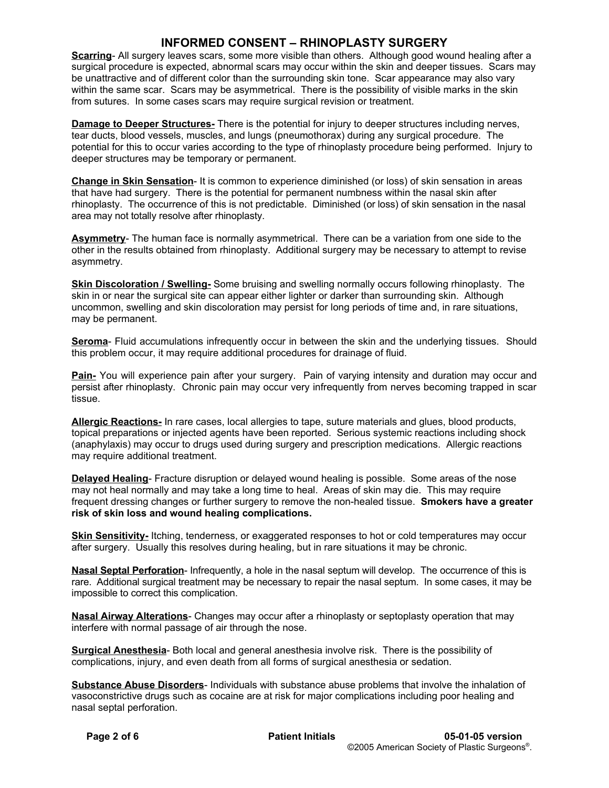**Scarring**- All surgery leaves scars, some more visible than others. Although good wound healing after a surgical procedure is expected, abnormal scars may occur within the skin and deeper tissues. Scars may be unattractive and of different color than the surrounding skin tone. Scar appearance may also vary within the same scar. Scars may be asymmetrical. There is the possibility of visible marks in the skin from sutures. In some cases scars may require surgical revision or treatment.

**Damage to Deeper Structures-** There is the potential for injury to deeper structures including nerves, tear ducts, blood vessels, muscles, and lungs (pneumothorax) during any surgical procedure. The potential for this to occur varies according to the type of rhinoplasty procedure being performed. Injury to deeper structures may be temporary or permanent.

**Change in Skin Sensation**- It is common to experience diminished (or loss) of skin sensation in areas that have had surgery. There is the potential for permanent numbness within the nasal skin after rhinoplasty. The occurrence of this is not predictable. Diminished (or loss) of skin sensation in the nasal area may not totally resolve after rhinoplasty.

**Asymmetry**- The human face is normally asymmetrical. There can be a variation from one side to the other in the results obtained from rhinoplasty. Additional surgery may be necessary to attempt to revise asymmetry.

**Skin Discoloration / Swelling-** Some bruising and swelling normally occurs following rhinoplasty. The skin in or near the surgical site can appear either lighter or darker than surrounding skin. Although uncommon, swelling and skin discoloration may persist for long periods of time and, in rare situations, may be permanent.

**Seroma**- Fluid accumulations infrequently occur in between the skin and the underlying tissues. Should this problem occur, it may require additional procedures for drainage of fluid.

**Pain-** You will experience pain after your surgery. Pain of varying intensity and duration may occur and persist after rhinoplasty. Chronic pain may occur very infrequently from nerves becoming trapped in scar tissue.

**Allergic Reactions-** In rare cases, local allergies to tape, suture materials and glues, blood products, topical preparations or injected agents have been reported. Serious systemic reactions including shock (anaphylaxis) may occur to drugs used during surgery and prescription medications. Allergic reactions may require additional treatment.

**Delayed Healing**- Fracture disruption or delayed wound healing is possible. Some areas of the nose may not heal normally and may take a long time to heal. Areas of skin may die. This may require frequent dressing changes or further surgery to remove the non-healed tissue. **Smokers have a greater risk of skin loss and wound healing complications.**

**Skin Sensitivity-** Itching, tenderness, or exaggerated responses to hot or cold temperatures may occur after surgery. Usually this resolves during healing, but in rare situations it may be chronic.

**Nasal Septal Perforation**- Infrequently, a hole in the nasal septum will develop. The occurrence of this is rare. Additional surgical treatment may be necessary to repair the nasal septum. In some cases, it may be impossible to correct this complication.

**Nasal Airway Alterations**- Changes may occur after a rhinoplasty or septoplasty operation that may interfere with normal passage of air through the nose.

**Surgical Anesthesia**- Both local and general anesthesia involve risk. There is the possibility of complications, injury, and even death from all forms of surgical anesthesia or sedation.

**Substance Abuse Disorders**- Individuals with substance abuse problems that involve the inhalation of vasoconstrictive drugs such as cocaine are at risk for major complications including poor healing and nasal septal perforation.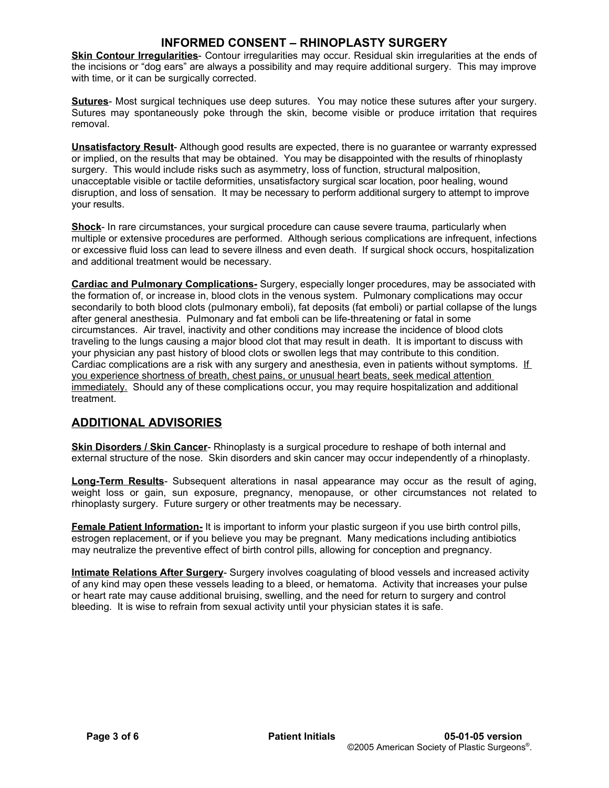**Skin Contour Irregularities**- Contour irregularities may occur. Residual skin irregularities at the ends of the incisions or "dog ears" are always a possibility and may require additional surgery. This may improve with time, or it can be surgically corrected.

**Sutures**- Most surgical techniques use deep sutures. You may notice these sutures after your surgery. Sutures may spontaneously poke through the skin, become visible or produce irritation that requires removal.

**Unsatisfactory Result**- Although good results are expected, there is no guarantee or warranty expressed or implied, on the results that may be obtained. You may be disappointed with the results of rhinoplasty surgery. This would include risks such as asymmetry, loss of function, structural malposition, unacceptable visible or tactile deformities, unsatisfactory surgical scar location, poor healing, wound disruption, and loss of sensation. It may be necessary to perform additional surgery to attempt to improve your results.

**Shock**- In rare circumstances, your surgical procedure can cause severe trauma, particularly when multiple or extensive procedures are performed. Although serious complications are infrequent, infections or excessive fluid loss can lead to severe illness and even death. If surgical shock occurs, hospitalization and additional treatment would be necessary.

**Cardiac and Pulmonary Complications-** Surgery, especially longer procedures, may be associated with the formation of, or increase in, blood clots in the venous system. Pulmonary complications may occur secondarily to both blood clots (pulmonary emboli), fat deposits (fat emboli) or partial collapse of the lungs after general anesthesia. Pulmonary and fat emboli can be life-threatening or fatal in some circumstances. Air travel, inactivity and other conditions may increase the incidence of blood clots traveling to the lungs causing a major blood clot that may result in death. It is important to discuss with your physician any past history of blood clots or swollen legs that may contribute to this condition. Cardiac complications are a risk with any surgery and anesthesia, even in patients without symptoms. If you experience shortness of breath, chest pains, or unusual heart beats, seek medical attention immediately. Should any of these complications occur, you may require hospitalization and additional treatment.

# **ADDITIONAL ADVISORIES**

**Skin Disorders / Skin Cancer**- Rhinoplasty is a surgical procedure to reshape of both internal and external structure of the nose. Skin disorders and skin cancer may occur independently of a rhinoplasty.

**Long-Term Results**- Subsequent alterations in nasal appearance may occur as the result of aging, weight loss or gain, sun exposure, pregnancy, menopause, or other circumstances not related to rhinoplasty surgery. Future surgery or other treatments may be necessary.

**Female Patient Information-** It is important to inform your plastic surgeon if you use birth control pills, estrogen replacement, or if you believe you may be pregnant. Many medications including antibiotics may neutralize the preventive effect of birth control pills, allowing for conception and pregnancy.

**Intimate Relations After Surgery**- Surgery involves coagulating of blood vessels and increased activity of any kind may open these vessels leading to a bleed, or hematoma. Activity that increases your pulse or heart rate may cause additional bruising, swelling, and the need for return to surgery and control bleeding. It is wise to refrain from sexual activity until your physician states it is safe.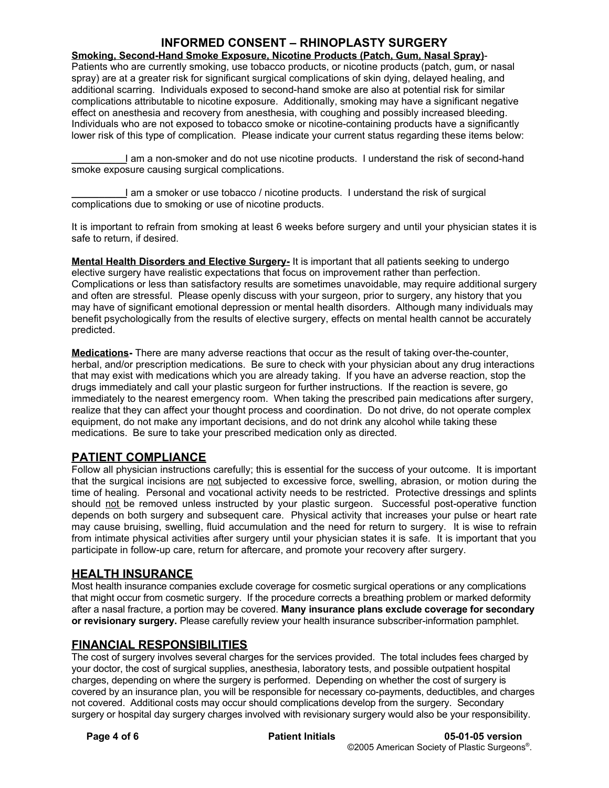**Smoking, Second-Hand Smoke Exposure, Nicotine Products (Patch, Gum, Nasal Spray)**- Patients who are currently smoking, use tobacco products, or nicotine products (patch, gum, or nasal spray) are at a greater risk for significant surgical complications of skin dying, delayed healing, and additional scarring. Individuals exposed to second-hand smoke are also at potential risk for similar complications attributable to nicotine exposure. Additionally, smoking may have a significant negative effect on anesthesia and recovery from anesthesia, with coughing and possibly increased bleeding. Individuals who are not exposed to tobacco smoke or nicotine-containing products have a significantly lower risk of this type of complication. Please indicate your current status regarding these items below:

**\_\_\_\_\_\_\_\_\_\_**I am a non-smoker and do not use nicotine products. I understand the risk of second-hand smoke exposure causing surgical complications.

**\_\_\_\_\_\_\_\_\_\_**I am a smoker or use tobacco / nicotine products. I understand the risk of surgical complications due to smoking or use of nicotine products.

It is important to refrain from smoking at least 6 weeks before surgery and until your physician states it is safe to return, if desired.

**Mental Health Disorders and Elective Surgery-** It is important that all patients seeking to undergo elective surgery have realistic expectations that focus on improvement rather than perfection. Complications or less than satisfactory results are sometimes unavoidable, may require additional surgery and often are stressful. Please openly discuss with your surgeon, prior to surgery, any history that you may have of significant emotional depression or mental health disorders. Although many individuals may benefit psychologically from the results of elective surgery, effects on mental health cannot be accurately predicted.

**Medications-** There are many adverse reactions that occur as the result of taking over-the-counter, herbal, and/or prescription medications. Be sure to check with your physician about any drug interactions that may exist with medications which you are already taking. If you have an adverse reaction, stop the drugs immediately and call your plastic surgeon for further instructions. If the reaction is severe, go immediately to the nearest emergency room. When taking the prescribed pain medications after surgery, realize that they can affect your thought process and coordination. Do not drive, do not operate complex equipment, do not make any important decisions, and do not drink any alcohol while taking these medications. Be sure to take your prescribed medication only as directed.

#### **PATIENT COMPLIANCE**

Follow all physician instructions carefully; this is essential for the success of your outcome. It is important that the surgical incisions are not subjected to excessive force, swelling, abrasion, or motion during the time of healing. Personal and vocational activity needs to be restricted. Protective dressings and splints should not be removed unless instructed by your plastic surgeon. Successful post-operative function depends on both surgery and subsequent care. Physical activity that increases your pulse or heart rate may cause bruising, swelling, fluid accumulation and the need for return to surgery. It is wise to refrain from intimate physical activities after surgery until your physician states it is safe. It is important that you participate in follow-up care, return for aftercare, and promote your recovery after surgery.

#### **HEALTH INSURANCE**

Most health insurance companies exclude coverage for cosmetic surgical operations or any complications that might occur from cosmetic surgery. If the procedure corrects a breathing problem or marked deformity after a nasal fracture, a portion may be covered. **Many insurance plans exclude coverage for secondary or revisionary surgery.** Please carefully review your health insurance subscriber-information pamphlet.

#### **FINANCIAL RESPONSIBILITIES**

The cost of surgery involves several charges for the services provided. The total includes fees charged by your doctor, the cost of surgical supplies, anesthesia, laboratory tests, and possible outpatient hospital charges, depending on where the surgery is performed. Depending on whether the cost of surgery is covered by an insurance plan, you will be responsible for necessary co-payments, deductibles, and charges not covered. Additional costs may occur should complications develop from the surgery. Secondary surgery or hospital day surgery charges involved with revisionary surgery would also be your responsibility.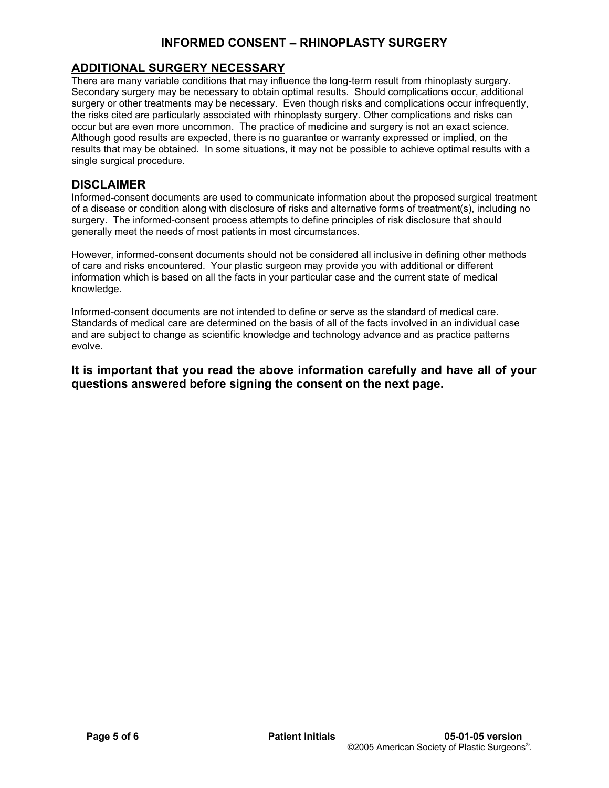# **ADDITIONAL SURGERY NECESSARY**

There are many variable conditions that may influence the long-term result from rhinoplasty surgery. Secondary surgery may be necessary to obtain optimal results. Should complications occur, additional surgery or other treatments may be necessary. Even though risks and complications occur infrequently, the risks cited are particularly associated with rhinoplasty surgery. Other complications and risks can occur but are even more uncommon. The practice of medicine and surgery is not an exact science. Although good results are expected, there is no guarantee or warranty expressed or implied, on the results that may be obtained. In some situations, it may not be possible to achieve optimal results with a single surgical procedure.

#### **DISCLAIMER**

Informed-consent documents are used to communicate information about the proposed surgical treatment of a disease or condition along with disclosure of risks and alternative forms of treatment(s), including no surgery. The informed-consent process attempts to define principles of risk disclosure that should generally meet the needs of most patients in most circumstances.

However, informed-consent documents should not be considered all inclusive in defining other methods of care and risks encountered. Your plastic surgeon may provide you with additional or different information which is based on all the facts in your particular case and the current state of medical knowledge.

Informed-consent documents are not intended to define or serve as the standard of medical care. Standards of medical care are determined on the basis of all of the facts involved in an individual case and are subject to change as scientific knowledge and technology advance and as practice patterns evolve.

**It is important that you read the above information carefully and have all of your questions answered before signing the consent on the next page.**